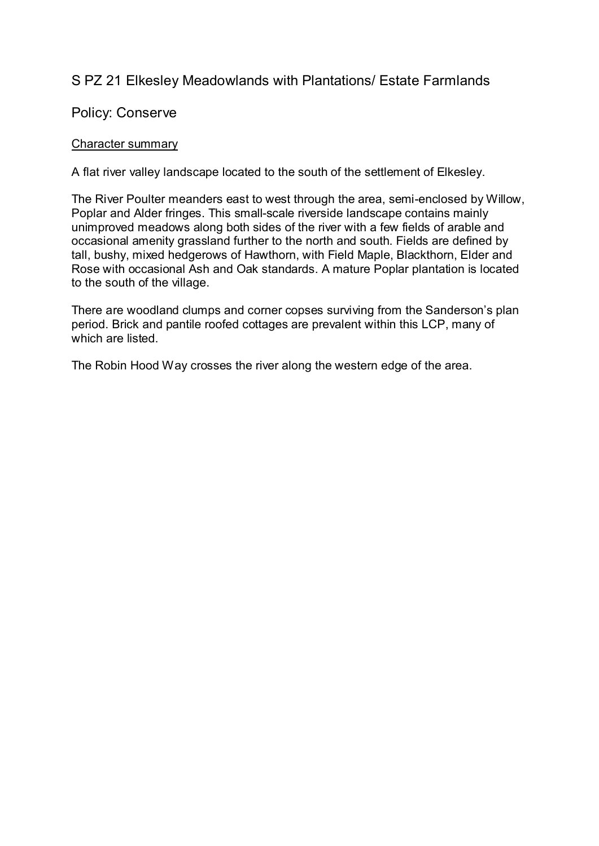# S PZ 21 Elkesley Meadowlands with Plantations/ Estate Farmlands

## Policy: Conserve

### Character summary

A flat river valley landscape located to the south of the settlement of Elkesley.

The River Poulter meanders east to west through the area, semi-enclosed by Willow, Poplar and Alder fringes. This small-scale riverside landscape contains mainly unimproved meadows along both sides of the river with a few fields of arable and occasional amenity grassland further to the north and south. Fields are defined by tall, bushy, mixed hedgerows of Hawthorn, with Field Maple, Blackthorn, Elder and Rose with occasional Ash and Oak standards. A mature Poplar plantation is located to the south of the village.

There are woodland clumps and corner copses surviving from the Sanderson's plan period. Brick and pantile roofed cottages are prevalent within this LCP, many of which are listed.

The Robin Hood Way crosses the river along the western edge of the area.